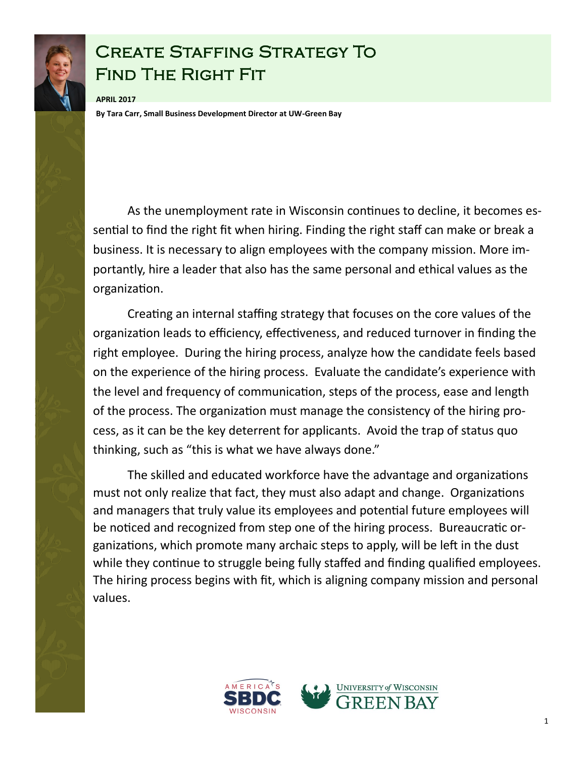

## Create Staffing Strategy To Find The Right Fit

**APRIL 2017 By Tara Carr, Small Business Development Director at UW-Green Bay**

As the unemployment rate in Wisconsin continues to decline, it becomes essential to find the right fit when hiring. Finding the right staff can make or break a business. It is necessary to align employees with the company mission. More importantly, hire a leader that also has the same personal and ethical values as the organization.

Creating an internal staffing strategy that focuses on the core values of the organization leads to efficiency, effectiveness, and reduced turnover in finding the right employee. During the hiring process, analyze how the candidate feels based on the experience of the hiring process. Evaluate the candidate's experience with the level and frequency of communication, steps of the process, ease and length of the process. The organization must manage the consistency of the hiring process, as it can be the key deterrent for applicants. Avoid the trap of status quo thinking, such as "this is what we have always done."

The skilled and educated workforce have the advantage and organizations must not only realize that fact, they must also adapt and change. Organizations and managers that truly value its employees and potential future employees will be noticed and recognized from step one of the hiring process. Bureaucratic organizations, which promote many archaic steps to apply, will be left in the dust while they continue to struggle being fully staffed and finding qualified employees. The hiring process begins with fit, which is aligning company mission and personal values.